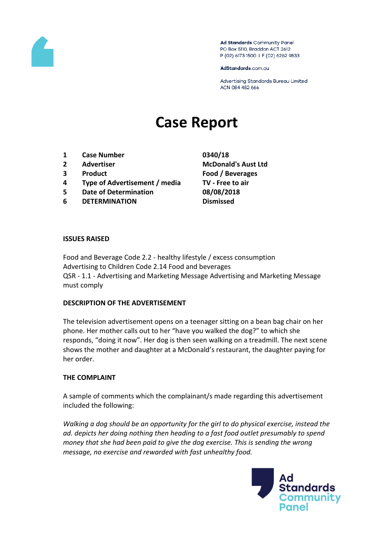

Ad Standards Community Panel PO Box 5110, Braddon ACT 2612 P (02) 6173 1500 | F (02) 6262 9833

AdStandards.com.au

Advertising Standards Bureau Limited ACN 084 452 666

# **Case Report**

- **1 Case Number 0340/18**
- 
- 
- **4 Type of Advertisement / media TV - Free to air**
- **5 Date of Determination 08/08/2018**
- **6 DETERMINATION Dismissed**

**2 Advertiser McDonald's Aust Ltd 3 Product Food / Beverages**

#### **ISSUES RAISED**

Food and Beverage Code 2.2 - healthy lifestyle / excess consumption Advertising to Children Code 2.14 Food and beverages QSR - 1.1 - Advertising and Marketing Message Advertising and Marketing Message must comply

#### **DESCRIPTION OF THE ADVERTISEMENT**

The television advertisement opens on a teenager sitting on a bean bag chair on her phone. Her mother calls out to her "have you walked the dog?" to which she responds, "doing it now". Her dog is then seen walking on a treadmill. The next scene shows the mother and daughter at a McDonald's restaurant, the daughter paying for her order.

#### **THE COMPLAINT**

A sample of comments which the complainant/s made regarding this advertisement included the following:

*Walking a dog should be an opportunity for the girl to do physical exercise, instead the ad. depicts her doing nothing then heading to a fast food outlet presumably to spend money that she had been paid to give the dog exercise. This is sending the wrong message, no exercise and rewarded with fast unhealthy food.*

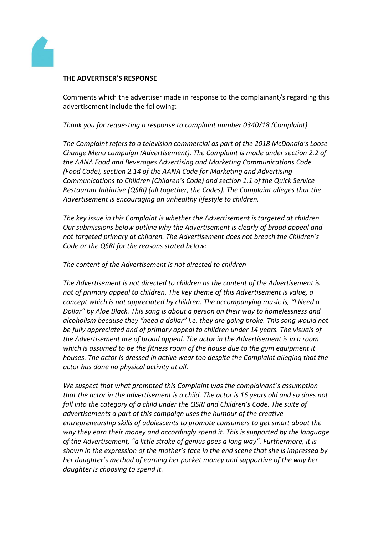

### **THE ADVERTISER'S RESPONSE**

Comments which the advertiser made in response to the complainant/s regarding this advertisement include the following:

*Thank you for requesting a response to complaint number 0340/18 (Complaint).*

*The Complaint refers to a television commercial as part of the 2018 McDonald's Loose Change Menu campaign (Advertisement). The Complaint is made under section 2.2 of the AANA Food and Beverages Advertising and Marketing Communications Code (Food Code), section 2.14 of the AANA Code for Marketing and Advertising Communications to Children (Children's Code) and section 1.1 of the Quick Service Restaurant Initiative (QSRI) (all together, the Codes). The Complaint alleges that the Advertisement is encouraging an unhealthy lifestyle to children.*

*The key issue in this Complaint is whether the Advertisement is targeted at children. Our submissions below outline why the Advertisement is clearly of broad appeal and not targeted primary at children. The Advertisement does not breach the Children's Code or the QSRI for the reasons stated below:*

*The content of the Advertisement is not directed to children*

*The Advertisement is not directed to children as the content of the Advertisement is not of primary appeal to children. The key theme of this Advertisement is value, a concept which is not appreciated by children. The accompanying music is, "I Need a Dollar" by Aloe Black. This song is about a person on their way to homelessness and alcoholism because they "need a dollar" i.e. they are going broke. This song would not be fully appreciated and of primary appeal to children under 14 years. The visuals of the Advertisement are of broad appeal. The actor in the Advertisement is in a room which is assumed to be the fitness room of the house due to the gym equipment it houses. The actor is dressed in active wear too despite the Complaint alleging that the actor has done no physical activity at all.*

*We suspect that what prompted this Complaint was the complainant's assumption that the actor in the advertisement is a child. The actor is 16 years old and so does not fall into the category of a child under the QSRI and Children's Code. The suite of advertisements a part of this campaign uses the humour of the creative entrepreneurship skills of adolescents to promote consumers to get smart about the way they earn their money and accordingly spend it. This is supported by the language of the Advertisement, "a little stroke of genius goes a long way". Furthermore, it is shown in the expression of the mother's face in the end scene that she is impressed by her daughter's method of earning her pocket money and supportive of the way her daughter is choosing to spend it.*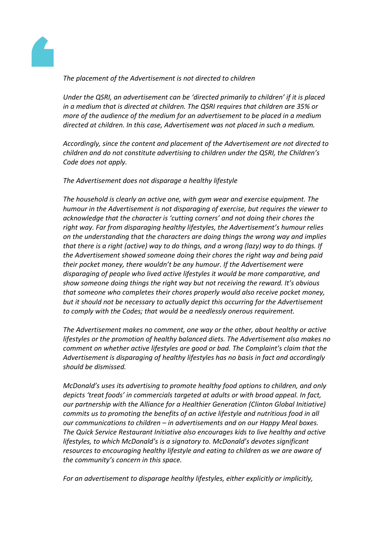

*The placement of the Advertisement is not directed to children*

*Under the QSRI, an advertisement can be 'directed primarily to children' if it is placed in a medium that is directed at children. The QSRI requires that children are 35% or more of the audience of the medium for an advertisement to be placed in a medium directed at children. In this case, Advertisement was not placed in such a medium.*

*Accordingly, since the content and placement of the Advertisement are not directed to children and do not constitute advertising to children under the QSRI, the Children's Code does not apply.*

*The Advertisement does not disparage a healthy lifestyle*

*The household is clearly an active one, with gym wear and exercise equipment. The humour in the Advertisement is not disparaging of exercise, but requires the viewer to acknowledge that the character is 'cutting corners' and not doing their chores the right way. Far from disparaging healthy lifestyles, the Advertisement's humour relies on the understanding that the characters are doing things the wrong way and implies that there is a right (active) way to do things, and a wrong (lazy) way to do things. If the Advertisement showed someone doing their chores the right way and being paid their pocket money, there wouldn't be any humour. If the Advertisement were disparaging of people who lived active lifestyles it would be more comparative, and show someone doing things the right way but not receiving the reward. It's obvious that someone who completes their chores properly would also receive pocket money, but it should not be necessary to actually depict this occurring for the Advertisement to comply with the Codes; that would be a needlessly onerous requirement.*

*The Advertisement makes no comment, one way or the other, about healthy or active lifestyles or the promotion of healthy balanced diets. The Advertisement also makes no comment on whether active lifestyles are good or bad. The Complaint's claim that the Advertisement is disparaging of healthy lifestyles has no basis in fact and accordingly should be dismissed.*

*McDonald's uses its advertising to promote healthy food options to children, and only depicts 'treat foods' in commercials targeted at adults or with broad appeal. In fact, our partnership with the Alliance for a Healthier Generation (Clinton Global Initiative) commits us to promoting the benefits of an active lifestyle and nutritious food in all our communications to children – in advertisements and on our Happy Meal boxes. The Quick Service Restaurant Initiative also encourages kids to live healthy and active lifestyles, to which McDonald's is a signatory to. McDonald's devotes significant resources to encouraging healthy lifestyle and eating to children as we are aware of the community's concern in this space.*

*For an advertisement to disparage healthy lifestyles, either explicitly or implicitly,*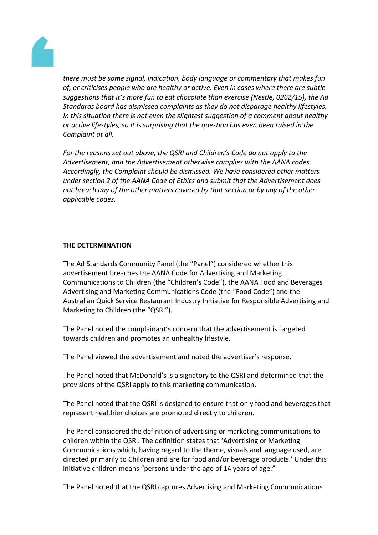

*there must be some signal, indication, body language or commentary that makes fun of, or criticises people who are healthy or active. Even in cases where there are subtle suggestions that it's more fun to eat chocolate than exercise (Nestle, 0262/15), the Ad Standards board has dismissed complaints as they do not disparage healthy lifestyles. In this situation there is not even the slightest suggestion of a comment about healthy or active lifestyles, so it is surprising that the question has even been raised in the Complaint at all.*

*For the reasons set out above, the QSRI and Children's Code do not apply to the Advertisement, and the Advertisement otherwise complies with the AANA codes. Accordingly, the Complaint should be dismissed. We have considered other matters under section 2 of the AANA Code of Ethics and submit that the Advertisement does not breach any of the other matters covered by that section or by any of the other applicable codes.*

## **THE DETERMINATION**

The Ad Standards Community Panel (the "Panel") considered whether this advertisement breaches the AANA Code for Advertising and Marketing Communications to Children (the "Children's Code"), the AANA Food and Beverages Advertising and Marketing Communications Code (the "Food Code") and the Australian Quick Service Restaurant Industry Initiative for Responsible Advertising and Marketing to Children (the "QSRI").

The Panel noted the complainant's concern that the advertisement is targeted towards children and promotes an unhealthy lifestyle.

The Panel viewed the advertisement and noted the advertiser's response.

The Panel noted that McDonald's is a signatory to the QSRI and determined that the provisions of the QSRI apply to this marketing communication.

The Panel noted that the QSRI is designed to ensure that only food and beverages that represent healthier choices are promoted directly to children.

The Panel considered the definition of advertising or marketing communications to children within the QSRI. The definition states that 'Advertising or Marketing Communications which, having regard to the theme, visuals and language used, are directed primarily to Children and are for food and/or beverage products.' Under this initiative children means "persons under the age of 14 years of age."

The Panel noted that the QSRI captures Advertising and Marketing Communications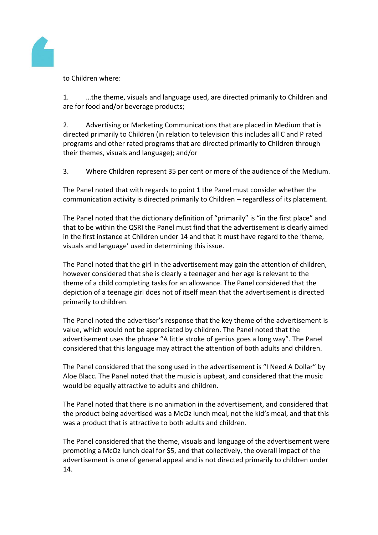

to Children where:

1. …the theme, visuals and language used, are directed primarily to Children and are for food and/or beverage products;

2. Advertising or Marketing Communications that are placed in Medium that is directed primarily to Children (in relation to television this includes all C and P rated programs and other rated programs that are directed primarily to Children through their themes, visuals and language); and/or

3. Where Children represent 35 per cent or more of the audience of the Medium.

The Panel noted that with regards to point 1 the Panel must consider whether the communication activity is directed primarily to Children – regardless of its placement.

The Panel noted that the dictionary definition of "primarily" is "in the first place" and that to be within the QSRI the Panel must find that the advertisement is clearly aimed in the first instance at Children under 14 and that it must have regard to the 'theme, visuals and language' used in determining this issue.

The Panel noted that the girl in the advertisement may gain the attention of children, however considered that she is clearly a teenager and her age is relevant to the theme of a child completing tasks for an allowance. The Panel considered that the depiction of a teenage girl does not of itself mean that the advertisement is directed primarily to children.

The Panel noted the advertiser's response that the key theme of the advertisement is value, which would not be appreciated by children. The Panel noted that the advertisement uses the phrase "A little stroke of genius goes a long way". The Panel considered that this language may attract the attention of both adults and children.

The Panel considered that the song used in the advertisement is "I Need A Dollar" by Aloe Blacc. The Panel noted that the music is upbeat, and considered that the music would be equally attractive to adults and children.

The Panel noted that there is no animation in the advertisement, and considered that the product being advertised was a McOz lunch meal, not the kid's meal, and that this was a product that is attractive to both adults and children.

The Panel considered that the theme, visuals and language of the advertisement were promoting a McOz lunch deal for \$5, and that collectively, the overall impact of the advertisement is one of general appeal and is not directed primarily to children under 14.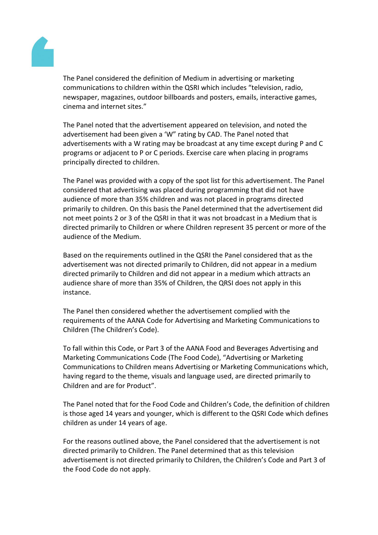

The Panel considered the definition of Medium in advertising or marketing communications to children within the QSRI which includes "television, radio, newspaper, magazines, outdoor billboards and posters, emails, interactive games, cinema and internet sites."

The Panel noted that the advertisement appeared on television, and noted the advertisement had been given a 'W" rating by CAD. The Panel noted that advertisements with a W rating may be broadcast at any time except during P and C programs or adjacent to P or C periods. Exercise care when placing in programs principally directed to children.

The Panel was provided with a copy of the spot list for this advertisement. The Panel considered that advertising was placed during programming that did not have audience of more than 35% children and was not placed in programs directed primarily to children. On this basis the Panel determined that the advertisement did not meet points 2 or 3 of the QSRI in that it was not broadcast in a Medium that is directed primarily to Children or where Children represent 35 percent or more of the audience of the Medium.

Based on the requirements outlined in the QSRI the Panel considered that as the advertisement was not directed primarily to Children, did not appear in a medium directed primarily to Children and did not appear in a medium which attracts an audience share of more than 35% of Children, the QRSI does not apply in this instance.

The Panel then considered whether the advertisement complied with the requirements of the AANA Code for Advertising and Marketing Communications to Children (The Children's Code).

To fall within this Code, or Part 3 of the AANA Food and Beverages Advertising and Marketing Communications Code (The Food Code), "Advertising or Marketing Communications to Children means Advertising or Marketing Communications which, having regard to the theme, visuals and language used, are directed primarily to Children and are for Product".

The Panel noted that for the Food Code and Children's Code, the definition of children is those aged 14 years and younger, which is different to the QSRI Code which defines children as under 14 years of age.

For the reasons outlined above, the Panel considered that the advertisement is not directed primarily to Children. The Panel determined that as this television advertisement is not directed primarily to Children, the Children's Code and Part 3 of the Food Code do not apply.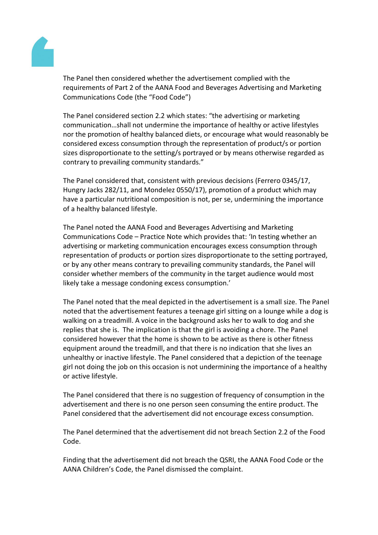

The Panel then considered whether the advertisement complied with the requirements of Part 2 of the AANA Food and Beverages Advertising and Marketing Communications Code (the "Food Code")

The Panel considered section 2.2 which states: "the advertising or marketing communication…shall not undermine the importance of healthy or active lifestyles nor the promotion of healthy balanced diets, or encourage what would reasonably be considered excess consumption through the representation of product/s or portion sizes disproportionate to the setting/s portrayed or by means otherwise regarded as contrary to prevailing community standards."

The Panel considered that, consistent with previous decisions (Ferrero 0345/17, Hungry Jacks 282/11, and Mondelez 0550/17), promotion of a product which may have a particular nutritional composition is not, per se, undermining the importance of a healthy balanced lifestyle.

The Panel noted the AANA Food and Beverages Advertising and Marketing Communications Code – Practice Note which provides that: 'In testing whether an advertising or marketing communication encourages excess consumption through representation of products or portion sizes disproportionate to the setting portrayed, or by any other means contrary to prevailing community standards, the Panel will consider whether members of the community in the target audience would most likely take a message condoning excess consumption.'

The Panel noted that the meal depicted in the advertisement is a small size. The Panel noted that the advertisement features a teenage girl sitting on a lounge while a dog is walking on a treadmill. A voice in the background asks her to walk to dog and she replies that she is. The implication is that the girl is avoiding a chore. The Panel considered however that the home is shown to be active as there is other fitness equipment around the treadmill, and that there is no indication that she lives an unhealthy or inactive lifestyle. The Panel considered that a depiction of the teenage girl not doing the job on this occasion is not undermining the importance of a healthy or active lifestyle.

The Panel considered that there is no suggestion of frequency of consumption in the advertisement and there is no one person seen consuming the entire product. The Panel considered that the advertisement did not encourage excess consumption.

The Panel determined that the advertisement did not breach Section 2.2 of the Food Code.

Finding that the advertisement did not breach the QSRI, the AANA Food Code or the AANA Children's Code, the Panel dismissed the complaint.